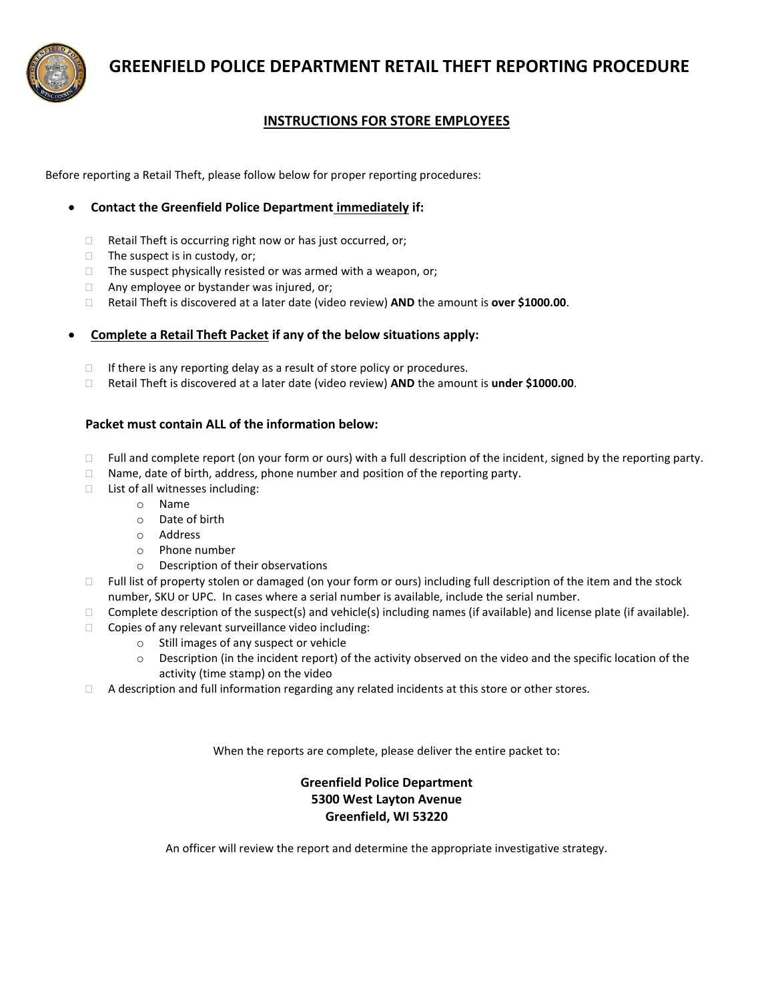

 **GREENFIELD POLICE DEPARTMENT RETAIL THEFT REPORTING PROCEDURE**

## **INSTRUCTIONS FOR STORE EMPLOYEES**

Before reporting a Retail Theft, please follow below for proper reporting procedures:

### **Contact the Greenfield Police Department immediately if:**

- $\Box$  Retail Theft is occurring right now or has just occurred, or;
- $\Box$  The suspect is in custody, or;
- $\Box$  The suspect physically resisted or was armed with a weapon, or;
- $\Box$  Any employee or bystander was injured, or;
- Retail Theft is discovered at a later date (video review) **AND** the amount is **over \$1000.00**.

#### **Complete a Retail Theft Packet if any of the below situations apply:**

- $\Box$  If there is any reporting delay as a result of store policy or procedures.
- Retail Theft is discovered at a later date (video review) **AND** the amount is **under \$1000.00**.

#### **Packet must contain ALL of the information below:**

- $\Box$  Full and complete report (on your form or ours) with a full description of the incident, signed by the reporting party.
- $\Box$  Name, date of birth, address, phone number and position of the reporting party.
- $\Box$  List of all witnesses including:
	- o Name
	- o Date of birth
	- o Address
	- o Phone number
	- o Description of their observations
- $\Box$  Full list of property stolen or damaged (on your form or ours) including full description of the item and the stock number, SKU or UPC. In cases where a serial number is available, include the serial number.
- $\Box$  Complete description of the suspect(s) and vehicle(s) including names (if available) and license plate (if available).
- $\Box$  Copies of any relevant surveillance video including:
	- o Still images of any suspect or vehicle
	- o Description (in the incident report) of the activity observed on the video and the specific location of the activity (time stamp) on the video
- $\Box$  A description and full information regarding any related incidents at this store or other stores.

When the reports are complete, please deliver the entire packet to:

## **Greenfield Police Department 5300 West Layton Avenue Greenfield, WI 53220**

An officer will review the report and determine the appropriate investigative strategy.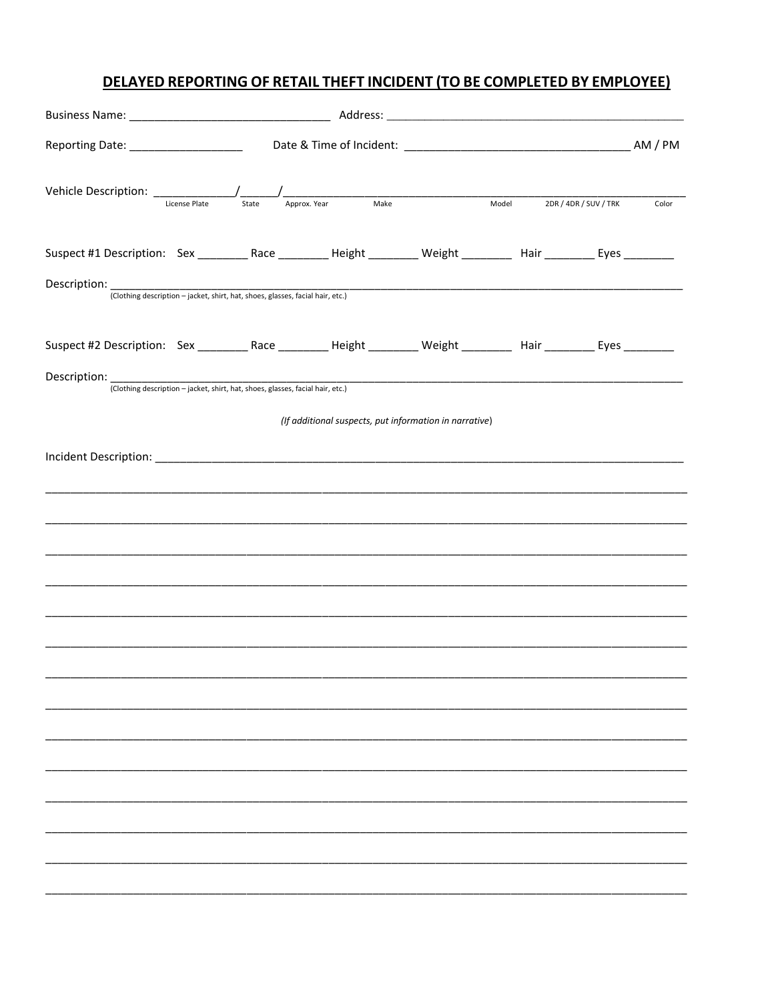## DELAYED REPORTING OF RETAIL THEFT INCIDENT (TO BE COMPLETED BY EMPLOYEE)

|                                                                                                                          |  |  |                                                        |  | Model 2DR / 4DR / SUV / TRK |  | Color |
|--------------------------------------------------------------------------------------------------------------------------|--|--|--------------------------------------------------------|--|-----------------------------|--|-------|
| Suspect #1 Description: Sex __________Race __________Height _________ Weight __________ Hair __________ Eyes _________   |  |  |                                                        |  |                             |  |       |
| Description: (Clothing description – jacket, shirt, hat, shoes, glasses, facial hair, etc.)                              |  |  |                                                        |  |                             |  |       |
| Suspect #2 Description: Sex ___________Race __________Height _________ Weight __________ Hair ___________ Eyes _________ |  |  |                                                        |  |                             |  |       |
| Description: (Clothing description – jacket, shirt, hat, shoes, glasses, facial hair, etc.)                              |  |  |                                                        |  |                             |  |       |
|                                                                                                                          |  |  | (If additional suspects, put information in narrative) |  |                             |  |       |
|                                                                                                                          |  |  |                                                        |  |                             |  |       |
|                                                                                                                          |  |  |                                                        |  |                             |  |       |
|                                                                                                                          |  |  |                                                        |  |                             |  |       |
|                                                                                                                          |  |  |                                                        |  |                             |  |       |
|                                                                                                                          |  |  |                                                        |  |                             |  |       |
|                                                                                                                          |  |  |                                                        |  |                             |  |       |
|                                                                                                                          |  |  |                                                        |  |                             |  |       |
|                                                                                                                          |  |  |                                                        |  |                             |  |       |
|                                                                                                                          |  |  |                                                        |  |                             |  |       |
|                                                                                                                          |  |  |                                                        |  |                             |  |       |
|                                                                                                                          |  |  |                                                        |  |                             |  |       |
|                                                                                                                          |  |  |                                                        |  |                             |  |       |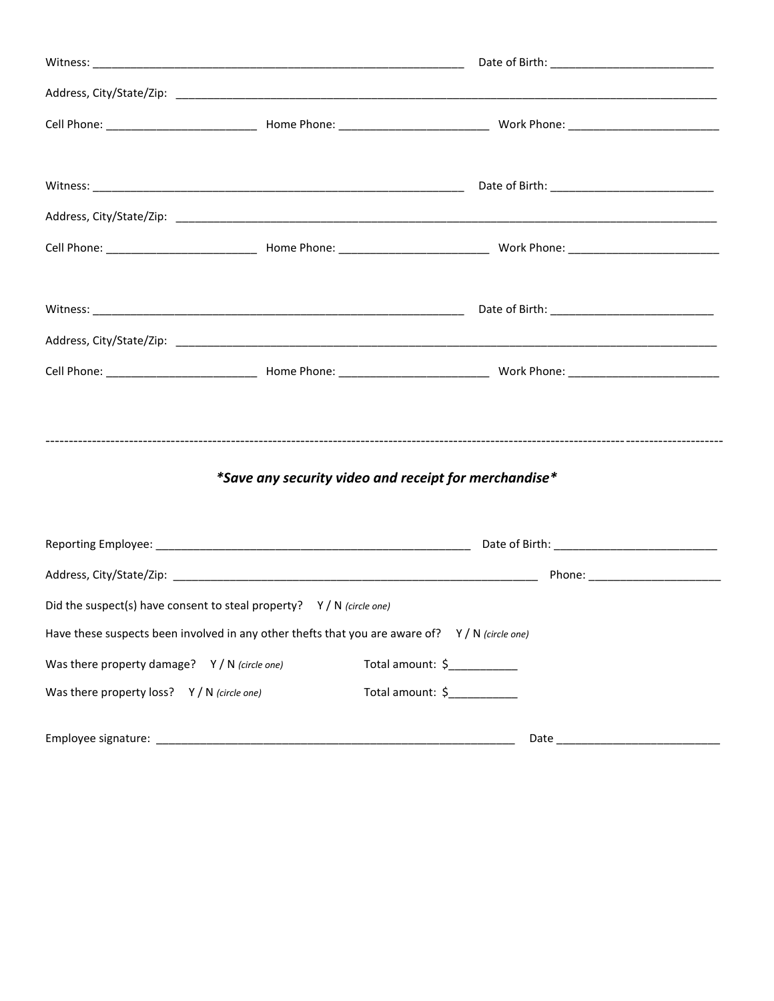|                                                                       | *Save any security video and receipt for merchandise*                                           |
|-----------------------------------------------------------------------|-------------------------------------------------------------------------------------------------|
|                                                                       |                                                                                                 |
|                                                                       |                                                                                                 |
| Did the suspect(s) have consent to steal property? $Y/N$ (circle one) |                                                                                                 |
|                                                                       | Have these suspects been involved in any other thefts that you are aware of? $Y/N$ (circle one) |
| Was there property damage? Y / N (circle one)                         | Total amount: \$                                                                                |
| Was there property loss? Y / N (circle one)                           | Total amount: \$                                                                                |
|                                                                       | Date                                                                                            |